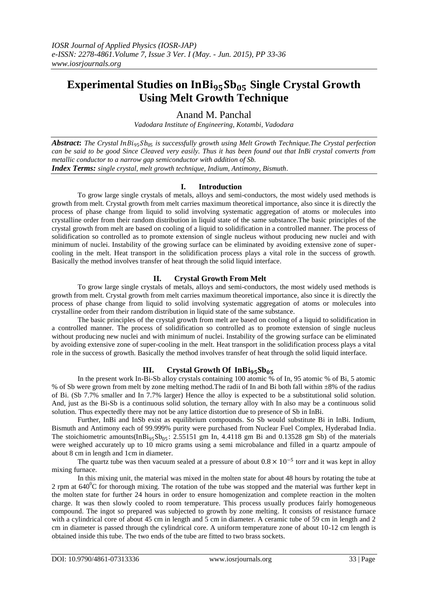# **Experimental Studies on InBi<sub>95</sub>Sb<sub>05</sub> Single Crystal Growth Using Melt Growth Technique**

Anand M. Panchal

*Vadodara Institute of Engineering, Kotambi, Vadodara*

Abstract: The Crystal InBi<sub>95</sub>Sb<sub>05</sub> is successfully growth using Melt Growth Technique.The Crystal perfection *can be said to be good Since Cleaved very easily. Thus it has been found out that InBi crystal converts from metallic conductor to a narrow gap semiconductor with addition of Sb. Index Terms: single crystal, melt growth technique, Indium, Antimony, Bismuth.*

## **I. Introduction**

To grow large single crystals of metals, alloys and semi-conductors, the most widely used methods is growth from melt. Crystal growth from melt carries maximum theoretical importance, also since it is directly the process of phase change from liquid to solid involving systematic aggregation of atoms or molecules into crystalline order from their random distribution in liquid state of the same substance.The basic principles of the crystal growth from melt are based on cooling of a liquid to solidification in a controlled manner. The process of solidification so controlled as to promote extension of single nucleus without producing new nuclei and with minimum of nuclei. Instability of the growing surface can be eliminated by avoiding extensive zone of supercooling in the melt. Heat transport in the solidification process plays a vital role in the success of growth. Basically the method involves transfer of heat through the solid liquid interface.

## **II. Crystal Growth From Melt**

To grow large single crystals of metals, alloys and semi-conductors, the most widely used methods is growth from melt. Crystal growth from melt carries maximum theoretical importance, also since it is directly the process of phase change from liquid to solid involving systematic aggregation of atoms or molecules into crystalline order from their random distribution in liquid state of the same substance.

The basic principles of the crystal growth from melt are based on cooling of a liquid to solidification in a controlled manner. The process of solidification so controlled as to promote extension of single nucleus without producing new nuclei and with minimum of nuclei. Instability of the growing surface can be eliminated by avoiding extensive zone of super-cooling in the melt. Heat transport in the solidification process plays a vital role in the success of growth. Basically the method involves transfer of heat through the solid liquid interface.

## **III. Crystal Growth Of**

In the present work In-Bi-Sb alloy crystals containing 100 atomic % of In, 95 atomic % of Bi, 5 atomic % of Sb were grown from melt by zone melting method.The radii of In and Bi both fall within ±8% of the radius of Bi. (Sb 7.7% smaller and In 7.7% larger) Hence the alloy is expected to be a substitutional solid solution. And, just as the Bi-Sb is a continuous solid solution, the ternary alloy with In also may be a continuous solid solution. Thus expectedly there may not be any lattice distortion due to presence of Sb in InBi.

Further, InBi and InSb exist as equilibrium compounds. So Sb would substitute Bi in InBi. Indium, Bismuth and Antimony each of 99.999% purity were purchased from Nuclear Fuel Complex, Hyderabad India. The stoichiometric amounts(InBi<sub>95</sub>Sb<sub>05</sub>: 2.55151 gm In, 4.4118 gm Bi and 0.13528 gm Sb) of the materials were weighed accurately up to 10 micro grams using a semi microbalance and filled in a quartz ampoule of about 8 cm in length and 1cm in diameter.

The quartz tube was then vacuum sealed at a pressure of about  $0.8 \times 10^{-5}$  torr and it was kept in alloy mixing furnace.

In this mixing unit, the material was mixed in the molten state for about 48 hours by rotating the tube at 2 rpm at  $640^{\circ}$ C for thorough mixing. The rotation of the tube was stopped and the material was further kept in the molten state for further 24 hours in order to ensure homogenization and complete reaction in the molten charge. It was then slowly cooled to room temperature. This process usually produces fairly homogeneous compound. The ingot so prepared was subjected to growth by zone melting. It consists of resistance furnace with a cylindrical core of about 45 cm in length and 5 cm in diameter. A ceramic tube of 59 cm in length and 2 cm in diameter is passed through the cylindrical core. A uniform temperature zone of about 10-12 cm length is obtained inside this tube. The two ends of the tube are fitted to two brass sockets.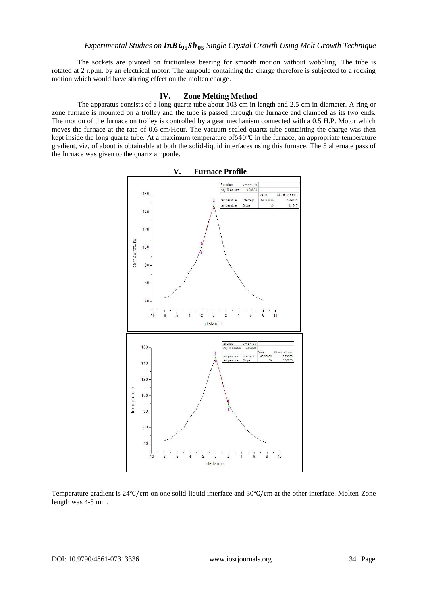The sockets are pivoted on frictionless bearing for smooth motion without wobbling. The tube is rotated at 2 r.p.m. by an electrical motor. The ampoule containing the charge therefore is subjected to a rocking motion which would have stirring effect on the molten charge.

#### **IV. Zone Melting Method**

The apparatus consists of a long quartz tube about 103 cm in length and 2.5 cm in diameter. A ring or zone furnace is mounted on a trolley and the tube is passed through the furnace and clamped as its two ends. The motion of the furnace on trolley is controlled by a gear mechanism connected with a 0.5 H.P. Motor which moves the furnace at the rate of 0.6 cm/Hour. The vacuum sealed quartz tube containing the charge was then kept inside the long quartz tube. At a maximum temperature of640℃ in the furnace, an appropriate temperature gradient, viz, of about is obtainable at both the solid-liquid interfaces using this furnace. The 5 alternate pass of the furnace was given to the quartz ampoule.



Temperature gradient is 24℃/cm on one solid-liquid interface and 30℃/cm at the other interface. Molten-Zone length was 4-5 mm.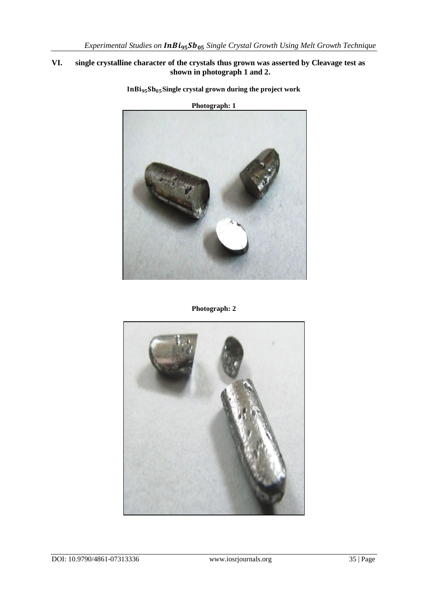## **VI. single crystalline character of the crystals thus grown was asserted by Cleavage test as shown in photograph 1 and 2.**



**Single crystal grown during the project work**

**Photograph: 2**